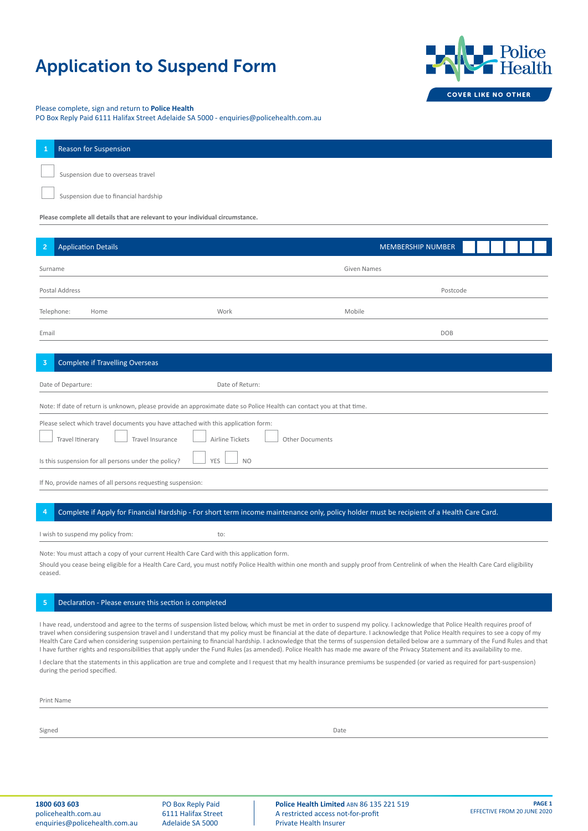# Application to Suspend Form



# Please complete, sign and return to **Police Health**

PO Box Reply Paid 6111 Halifax Street Adelaide SA 5000 - enquiries@policehealth.com.au

|                                                                                | <b>Reason for Suspension</b>         |  |  |  |  |  |  |
|--------------------------------------------------------------------------------|--------------------------------------|--|--|--|--|--|--|
|                                                                                | Suspension due to overseas travel    |  |  |  |  |  |  |
|                                                                                | Suspension due to financial hardship |  |  |  |  |  |  |
| Please complete all details that are relevant to your individual circumstance. |                                      |  |  |  |  |  |  |

| $\overline{2}$ | <b>Application Details</b>                                                                                                                                       |                                                                                                                       |             | <b>MEMBERSHIP NUMBER</b> |  |  |  |  |  |
|----------------|------------------------------------------------------------------------------------------------------------------------------------------------------------------|-----------------------------------------------------------------------------------------------------------------------|-------------|--------------------------|--|--|--|--|--|
| Surname        |                                                                                                                                                                  |                                                                                                                       | Given Names |                          |  |  |  |  |  |
|                | Postal Address                                                                                                                                                   |                                                                                                                       | Postcode    |                          |  |  |  |  |  |
|                | Telephone:<br>Home                                                                                                                                               | Work                                                                                                                  | Mobile      |                          |  |  |  |  |  |
| Email          |                                                                                                                                                                  |                                                                                                                       |             | DOB                      |  |  |  |  |  |
| $\overline{3}$ | <b>Complete if Travelling Overseas</b>                                                                                                                           |                                                                                                                       |             |                          |  |  |  |  |  |
|                | Date of Departure:                                                                                                                                               | Date of Return:                                                                                                       |             |                          |  |  |  |  |  |
|                |                                                                                                                                                                  | Note: If date of return is unknown, please provide an approximate date so Police Health can contact you at that time. |             |                          |  |  |  |  |  |
|                | Please select which travel documents you have attached with this application form:<br>Travel Itinerary<br>Airline Tickets<br>Travel Insurance<br>Other Documents |                                                                                                                       |             |                          |  |  |  |  |  |
|                | Is this suspension for all persons under the policy?                                                                                                             | YES<br><b>NO</b>                                                                                                      |             |                          |  |  |  |  |  |

If No, provide names of all persons requesting suspension:

#### 4 Complete if Apply for Financial Hardship - For short term income maintenance only, policy holder must be recipient of a Health Care Card.

I wish to suspend my policy from: to:

Note: You must attach a copy of your current Health Care Card with this application form.

Should you cease being eligible for a Health Care Card, you must notify Police Health within one month and supply proof from Centrelink of when the Health Care Card eligibility ceased.

### 5 Declaration - Please ensure this section is completed

I have read, understood and agree to the terms of suspension listed below, which must be met in order to suspend my policy. I acknowledge that Police Health requires proof of travel when considering suspension travel and I understand that my policy must be financial at the date of departure. I acknowledge that Police Health requires to see a copy of my Health Care Card when considering suspension pertaining to financial hardship. I acknowledge that the terms of suspension detailed below are a summary of the Fund Rules and that I have further rights and responsibilities that apply under the Fund Rules (as amended). Police Health has made me aware of the Privacy Statement and its availability to me.

I declare that the statements in this application are true and complete and I request that my health insurance premiums be suspended (or varied as required for part-suspension) during the period specified.

Print Name

Signed Date **Date of the Contract of Contract Contract of Contract Contract Contract Only and Date Only and Date of Contract Only and Date of Contract Only and Date of Contract Only and Date of Contract Only and Date of Co**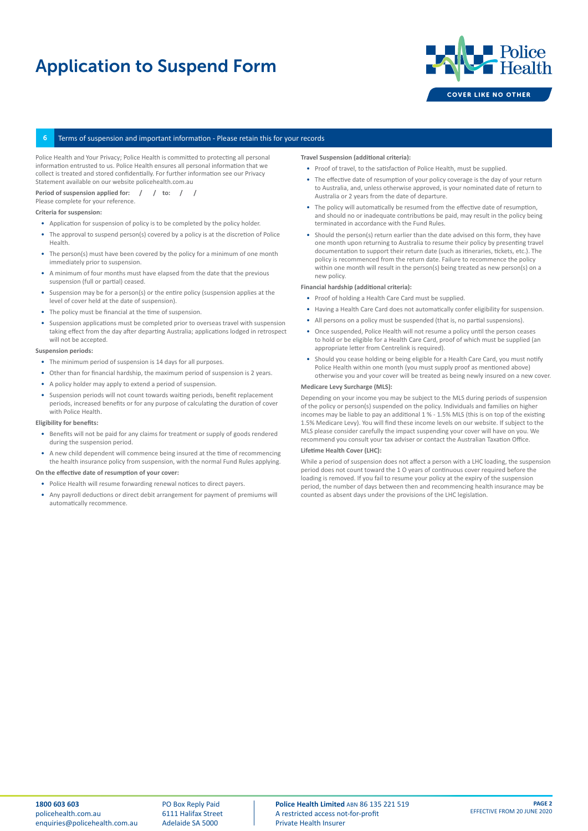# Application to Suspend Form



# Terms of suspension and important information - Please retain this for your records

Police Health and Your Privacy; Police Health is committed to protecting all personal information entrusted to us. Police Health ensures all personal information that we collect is treated and stored confidentially. For further information see our Privacy Statement available on our website policehealth.com.au

Period of suspension applied for: / / to: / Please complete for your reference.

### **Criteria for suspension:**

- Application for suspension of policy is to be completed by the policy holder.
- The approval to suspend person(s) covered by a policy is at the discretion of Police Health.
- The person(s) must have been covered by the policy for a minimum of one month immediately prior to suspension.
- A minimum of four months must have elapsed from the date that the previous suspension (full or partial) ceased.
- Suspension may be for a person(s) or the entire policy (suspension applies at the level of cover held at the date of suspension).
- The policy must be financial at the time of suspension.
- Suspension applications must be completed prior to overseas travel with suspension taking effect from the day after departing Australia; applications lodged in retrospect will not be accepted.

### **Suspension periods:**

- The minimum period of suspension is 14 days for all purposes.
- Other than for financial hardship, the maximum period of suspension is 2 years.
- A policy holder may apply to extend a period of suspension.
- Suspension periods will not count towards waiting periods, benefit replacement periods, increased benefits or for any purpose of calculating the duration of cover with Police Health.

#### **Eligibility for benefits:**

- Benefits will not be paid for any claims for treatment or supply of goods rendered during the suspension period.
- A new child dependent will commence being insured at the time of recommencing the health insurance policy from suspension, with the normal Fund Rules applying.

# **On the effective date of resumption of your cover:**

- Police Health will resume forwarding renewal notices to direct payers.
- Any payroll deductions or direct debit arrangement for payment of premiums will automatically recommence.

#### **Travel Suspension (additional criteria):**

- Proof of travel, to the satisfaction of Police Health, must be supplied.
- The effective date of resumption of your policy coverage is the day of your return to Australia, and, unless otherwise approved, is your nominated date of return to Australia or 2 years from the date of departure.
- The policy will automatically be resumed from the effective date of resumption, and should no or inadequate contributions be paid, may result in the policy being terminated in accordance with the Fund Rules.
- Should the person(s) return earlier than the date advised on this form, they have one month upon returning to Australia to resume their policy by presenting travel documentation to support their return date (such as itineraries, tickets, etc.). The policy is recommenced from the return date. Failure to recommence the policy within one month will result in the person(s) being treated as new person(s) on a new policy.

#### **Financial hardship (additional criteria):**

- Proof of holding a Health Care Card must be supplied.
- Having a Health Care Card does not automatically confer eligibility for suspension.
- All persons on a policy must be suspended (that is, no partial suspensions).
- Once suspended, Police Health will not resume a policy until the person ceases to hold or be eligible for a Health Care Card, proof of which must be supplied (an appropriate letter from Centrelink is required).
- Should you cease holding or being eligible for a Health Care Card, you must notify Police Health within one month (you must supply proof as mentioned above) otherwise you and your cover will be treated as being newly insured on a new cover.

#### **Medicare Levy Surcharge (MLS):**

Depending on your income you may be subject to the MLS during periods of suspension of the policy or person(s) suspended on the policy. Individuals and families on higher incomes may be liable to pay an additional 1 % - 1.5% MLS (this is on top of the existing 1.5% Medicare Levy). You will find these income levels on our website. If subject to the MLS please consider carefully the impact suspending your cover will have on you. We recommend you consult your tax adviser or contact the Australian Taxation Office.

#### **Lifetime Health Cover (LHC):**

While a period of suspension does not affect a person with a LHC loading, the suspension period does not count toward the 1 O years of continuous cover required before the loading is removed. If you fail to resume your policy at the expiry of the suspension period, the number of days between then and recommencing health insurance may be counted as absent days under the provisions of the LHC legislation.

PO Box Reply Paid 6111 Halifax Street Adelaide SA 5000